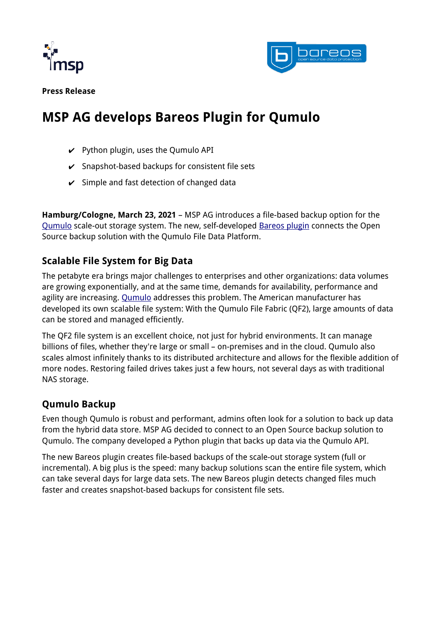



**Press Release**

# **MSP AG develops Bareos Plugin for Qumulo**

- $\vee$  Python plugin, uses the Qumulo API
- $\checkmark$  Snapshot-based backups for consistent file sets
- $\checkmark$  Simple and fast detection of changed data

**Hamburg/Cologne, March 23, 2021** – MSP AG introduces a file-based backup option for the [Qumulo](https://www.mspag.com/en/it-service/qumulo-and-bareos) scale-out storage system. The new, self-developed [Bareos plugin](https://www.mspag.com/en/news/article/msp-bareos-plugin) connects the Open Source backup solution with the Qumulo File Data Platform.

# **Scalable File System for Big Data**

The petabyte era brings major challenges to enterprises and other organizations: data volumes are growing exponentially, and at the same time, demands for availability, performance and agility are increasing. [Qumulo](https://qumulo.com/) addresses this problem. The American manufacturer has developed its own scalable file system: With the Qumulo File Fabric (QF2), large amounts of data can be stored and managed efficiently.

The QF2 file system is an excellent choice, not just for hybrid environments. It can manage billions of files, whether they're large or small – on-premises and in the cloud. Qumulo also scales almost infinitely thanks to its distributed architecture and allows for the flexible addition of more nodes. Restoring failed drives takes just a few hours, not several days as with traditional NAS storage.

## **Qumulo Backup**

Even though Qumulo is robust and performant, admins often look for a solution to back up data from the hybrid data store. MSP AG decided to connect to an Open Source backup solution to Qumulo. The company developed a Python plugin that backs up data via the Qumulo API.

The new Bareos plugin creates file-based backups of the scale-out storage system (full or incremental). A big plus is the speed: many backup solutions scan the entire file system, which can take several days for large data sets. The new Bareos plugin detects changed files much faster and creates snapshot-based backups for consistent file sets.